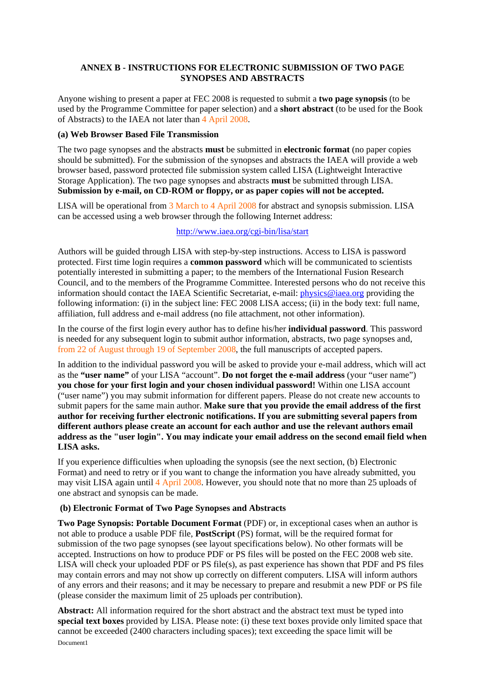# **ANNEX B - INSTRUCTIONS FOR ELECTRONIC SUBMISSION OF TWO PAGE SYNOPSES AND ABSTRACTS**

Anyone wishing to present a paper at FEC 2008 is requested to submit a **two page synopsis** (to be used by the Programme Committee for paper selection) and a **short abstract** (to be used for the Book of Abstracts) to the IAEA not later than 4 April 2008.

#### **(a) Web Browser Based File Transmission**

The two page synopses and the abstracts **must** be submitted in **electronic format** (no paper copies should be submitted). For the submission of the synopses and abstracts the IAEA will provide a web browser based, password protected file submission system called LISA (Lightweight Interactive Storage Application). The two page synopses and abstracts **must** be submitted through LISA. **Submission by e-mail, on CD-ROM or floppy, or as paper copies will not be accepted.**

LISA will be operational from 3 March to 4 April 2008 for abstract and synopsis submission. LISA can be accessed using a web browser through the following Internet address:

### http://www.iaea.org/cgi-bin/lisa/start

Authors will be guided through LISA with step-by-step instructions. Access to LISA is password protected. First time login requires a **common password** which will be communicated to scientists potentially interested in submitting a paper; to the members of the International Fusion Research Council, and to the members of the Programme Committee. Interested persons who do not receive this information should contact the IAEA Scientific Secretariat, e-mail: physics@iaea.org providing the following information: (i) in the subject line: FEC 2008 LISA access; (ii) in the body text: full name, affiliation, full address and e-mail address (no file attachment, not other information).

In the course of the first login every author has to define his/her **individual password**. This password is needed for any subsequent login to submit author information, abstracts, two page synopses and, from 22 of August through 19 of September 2008, the full manuscripts of accepted papers.

In addition to the individual password you will be asked to provide your e-mail address, which will act as the **"user name"** of your LISA "account". **Do not forget the e-mail address** (your "user name") **you chose for your first login and your chosen individual password!** Within one LISA account ("user name") you may submit information for different papers. Please do not create new accounts to submit papers for the same main author. **Make sure that you provide the email address of the first author for receiving further electronic notifications. If you are submitting several papers from different authors please create an account for each author and use the relevant authors email address as the "user login". You may indicate your email address on the second email field when LISA asks.**

If you experience difficulties when uploading the synopsis (see the next section, (b) Electronic Format) and need to retry or if you want to change the information you have already submitted, you may visit LISA again until 4 April 2008. However, you should note that no more than 25 uploads of one abstract and synopsis can be made.

# **(b) Electronic Format of Two Page Synopses and Abstracts**

**Two Page Synopsis: Portable Document Format** (PDF) or, in exceptional cases when an author is not able to produce a usable PDF file, **PostScript** (PS) format, will be the required format for submission of the two page synopses (see layout specifications below). No other formats will be accepted. Instructions on how to produce PDF or PS files will be posted on the FEC 2008 web site. LISA will check your uploaded PDF or PS file(s), as past experience has shown that PDF and PS files may contain errors and may not show up correctly on different computers. LISA will inform authors of any errors and their reasons; and it may be necessary to prepare and resubmit a new PDF or PS file (please consider the maximum limit of 25 uploads per contribution).

Document1 **Abstract:** All information required for the short abstract and the abstract text must be typed into **special text boxes** provided by LISA. Please note: (i) these text boxes provide only limited space that cannot be exceeded (2400 characters including spaces); text exceeding the space limit will be